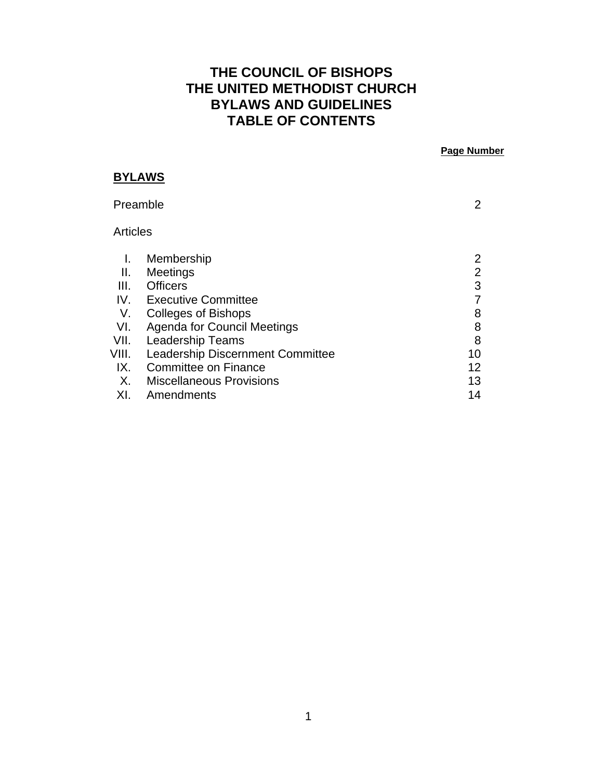# **THE COUNCIL OF BISHOPS THE UNITED METHODIST CHURCH BYLAWS AND GUIDELINES TABLE OF CONTENTS**

#### **Page Number**

# **BYLAWS**

| Preamble        |                                    | 2.             |
|-----------------|------------------------------------|----------------|
| <b>Articles</b> |                                    |                |
| ı.              | Membership                         | $\overline{2}$ |
| Ш.              | Meetings                           | 2              |
| III.            | <b>Officers</b>                    | 3              |
| IV.             | <b>Executive Committee</b>         |                |
| V.              | Colleges of Bishops                | 8              |
| VI.             | <b>Agenda for Council Meetings</b> | 8              |
| VII.            | <b>Leadership Teams</b>            | 8              |
| VIII.           | Leadership Discernment Committee   | 10             |
| IX.             | Committee on Finance               | 12             |
| X.              | <b>Miscellaneous Provisions</b>    | 13             |
| XI.             | Amendments                         | 14             |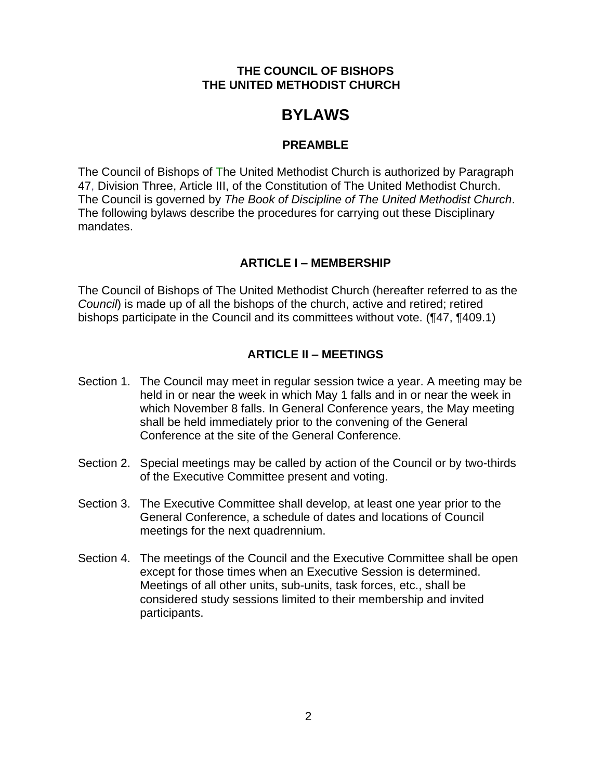# **THE COUNCIL OF BISHOPS THE UNITED METHODIST CHURCH**

# **BYLAWS**

# **PREAMBLE**

The Council of Bishops of The United Methodist Church is authorized by Paragraph 47, Division Three, Article III, of the Constitution of The United Methodist Church. The Council is governed by *The Book of Discipline of The United Methodist Church*. The following bylaws describe the procedures for carrying out these Disciplinary mandates.

# **ARTICLE I – MEMBERSHIP**

The Council of Bishops of The United Methodist Church (hereafter referred to as the *Council*) is made up of all the bishops of the church, active and retired; retired bishops participate in the Council and its committees without vote. (¶47, ¶409.1)

# **ARTICLE II – MEETINGS**

- Section 1. The Council may meet in regular session twice a year. A meeting may be held in or near the week in which May 1 falls and in or near the week in which November 8 falls. In General Conference years, the May meeting shall be held immediately prior to the convening of the General Conference at the site of the General Conference.
- Section 2. Special meetings may be called by action of the Council or by two-thirds of the Executive Committee present and voting.
- Section 3. The Executive Committee shall develop, at least one year prior to the General Conference, a schedule of dates and locations of Council meetings for the next quadrennium.
- Section 4. The meetings of the Council and the Executive Committee shall be open except for those times when an Executive Session is determined. Meetings of all other units, sub-units, task forces, etc., shall be considered study sessions limited to their membership and invited participants.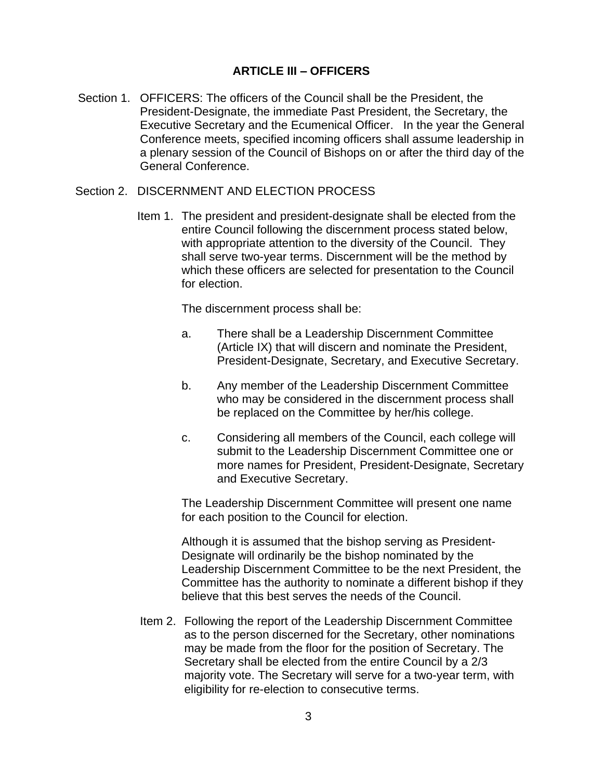### **ARTICLE III – OFFICERS**

Section 1. OFFICERS: The officers of the Council shall be the President, the President-Designate, the immediate Past President, the Secretary, the Executive Secretary and the Ecumenical Officer. In the year the General Conference meets, specified incoming officers shall assume leadership in a plenary session of the Council of Bishops on or after the third day of the General Conference.

#### Section 2. DISCERNMENT AND ELECTION PROCESS

Item 1. The president and president-designate shall be elected from the entire Council following the discernment process stated below, with appropriate attention to the diversity of the Council. They shall serve two-year terms. Discernment will be the method by which these officers are selected for presentation to the Council for election.

The discernment process shall be:

- a. There shall be a Leadership Discernment Committee (Article IX) that will discern and nominate the President, President-Designate, Secretary, and Executive Secretary.
- b. Any member of the Leadership Discernment Committee who may be considered in the discernment process shall be replaced on the Committee by her/his college.
- c. Considering all members of the Council, each college will submit to the Leadership Discernment Committee one or more names for President, President-Designate, Secretary and Executive Secretary.

The Leadership Discernment Committee will present one name for each position to the Council for election.

Although it is assumed that the bishop serving as President-Designate will ordinarily be the bishop nominated by the Leadership Discernment Committee to be the next President, the Committee has the authority to nominate a different bishop if they believe that this best serves the needs of the Council.

Item 2. Following the report of the Leadership Discernment Committee as to the person discerned for the Secretary, other nominations may be made from the floor for the position of Secretary. The Secretary shall be elected from the entire Council by a 2/3 majority vote. The Secretary will serve for a two-year term, with eligibility for re-election to consecutive terms.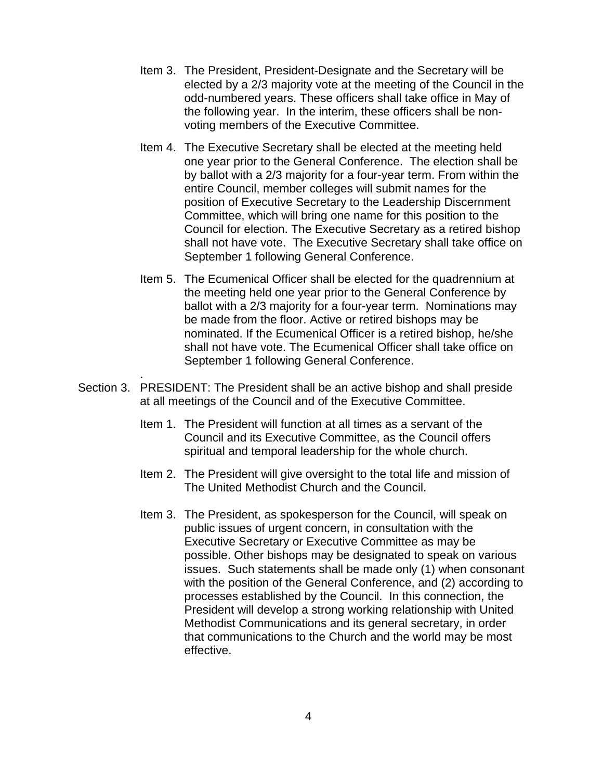- Item 3. The President, President-Designate and the Secretary will be elected by a 2/3 majority vote at the meeting of the Council in the odd-numbered years. These officers shall take office in May of the following year. In the interim, these officers shall be nonvoting members of the Executive Committee.
- Item 4. The Executive Secretary shall be elected at the meeting held one year prior to the General Conference. The election shall be by ballot with a 2/3 majority for a four-year term. From within the entire Council, member colleges will submit names for the position of Executive Secretary to the Leadership Discernment Committee, which will bring one name for this position to the Council for election. The Executive Secretary as a retired bishop shall not have vote. The Executive Secretary shall take office on September 1 following General Conference.
- Item 5. The Ecumenical Officer shall be elected for the quadrennium at the meeting held one year prior to the General Conference by ballot with a 2/3 majority for a four-year term. Nominations may be made from the floor. Active or retired bishops may be nominated. If the Ecumenical Officer is a retired bishop, he/she shall not have vote. The Ecumenical Officer shall take office on September 1 following General Conference.
- Section 3. PRESIDENT: The President shall be an active bishop and shall preside at all meetings of the Council and of the Executive Committee.

.

- Item 1. The President will function at all times as a servant of the Council and its Executive Committee, as the Council offers spiritual and temporal leadership for the whole church.
- Item 2. The President will give oversight to the total life and mission of The United Methodist Church and the Council.
- Item 3. The President, as spokesperson for the Council, will speak on public issues of urgent concern, in consultation with the Executive Secretary or Executive Committee as may be possible. Other bishops may be designated to speak on various issues. Such statements shall be made only (1) when consonant with the position of the General Conference, and (2) according to processes established by the Council. In this connection, the President will develop a strong working relationship with United Methodist Communications and its general secretary, in order that communications to the Church and the world may be most effective.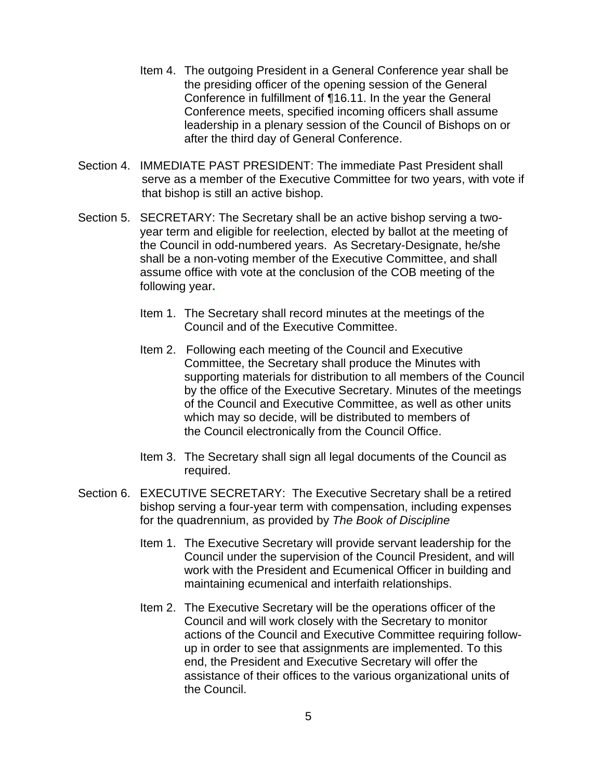- Item 4. The outgoing President in a General Conference year shall be the presiding officer of the opening session of the General Conference in fulfillment of ¶16.11. In the year the General Conference meets, specified incoming officers shall assume leadership in a plenary session of the Council of Bishops on or after the third day of General Conference.
- Section 4. IMMEDIATE PAST PRESIDENT: The immediate Past President shall serve as a member of the Executive Committee for two years, with vote if that bishop is still an active bishop.
- Section 5. SECRETARY: The Secretary shall be an active bishop serving a twoyear term and eligible for reelection, elected by ballot at the meeting of the Council in odd-numbered years. As Secretary-Designate, he/she shall be a non-voting member of the Executive Committee, and shall assume office with vote at the conclusion of the COB meeting of the following year**.** 
	- Item 1. The Secretary shall record minutes at the meetings of the Council and of the Executive Committee.
	- Item 2. Following each meeting of the Council and Executive Committee, the Secretary shall produce the Minutes with supporting materials for distribution to all members of the Council by the office of the Executive Secretary. Minutes of the meetings of the Council and Executive Committee, as well as other units which may so decide, will be distributed to members of the Council electronically from the Council Office.
	- Item 3. The Secretary shall sign all legal documents of the Council as required.
- Section 6. EXECUTIVE SECRETARY: The Executive Secretary shall be a retired bishop serving a four-year term with compensation, including expenses for the quadrennium, as provided by *The Book of Discipline*
	- Item 1. The Executive Secretary will provide servant leadership for the Council under the supervision of the Council President, and will work with the President and Ecumenical Officer in building and maintaining ecumenical and interfaith relationships.
	- Item 2. The Executive Secretary will be the operations officer of the Council and will work closely with the Secretary to monitor actions of the Council and Executive Committee requiring followup in order to see that assignments are implemented. To this end, the President and Executive Secretary will offer the assistance of their offices to the various organizational units of the Council.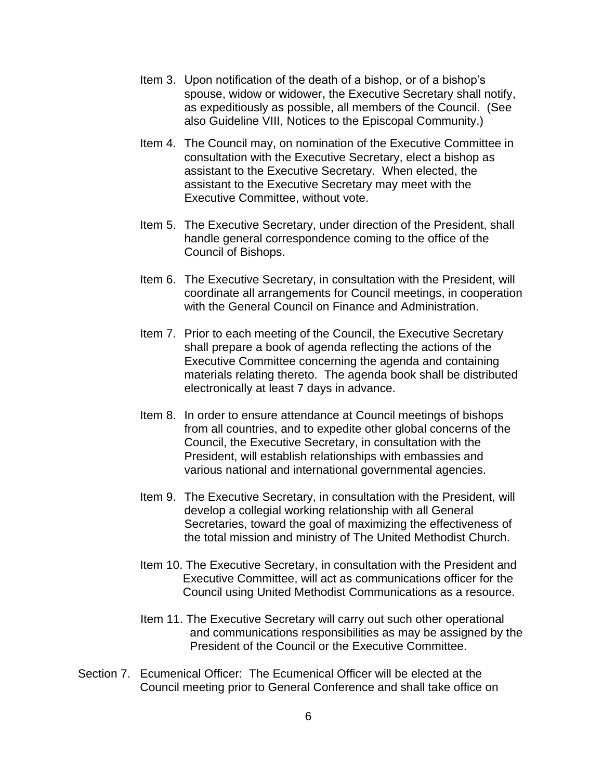- Item 3. Upon notification of the death of a bishop, or of a bishop's spouse, widow or widower**,** the Executive Secretary shall notify, as expeditiously as possible, all members of the Council. (See also Guideline VIII, Notices to the Episcopal Community.)
- Item 4. The Council may, on nomination of the Executive Committee in consultation with the Executive Secretary, elect a bishop as assistant to the Executive Secretary. When elected, the assistant to the Executive Secretary may meet with the Executive Committee, without vote.
- Item 5. The Executive Secretary, under direction of the President, shall handle general correspondence coming to the office of the Council of Bishops.
- Item 6. The Executive Secretary, in consultation with the President, will coordinate all arrangements for Council meetings, in cooperation with the General Council on Finance and Administration.
- Item 7. Prior to each meeting of the Council, the Executive Secretary shall prepare a book of agenda reflecting the actions of the Executive Committee concerning the agenda and containing materials relating thereto. The agenda book shall be distributed electronically at least 7 days in advance.
- Item 8. In order to ensure attendance at Council meetings of bishops from all countries, and to expedite other global concerns of the Council, the Executive Secretary, in consultation with the President, will establish relationships with embassies and various national and international governmental agencies.
- Item 9. The Executive Secretary, in consultation with the President, will develop a collegial working relationship with all General Secretaries, toward the goal of maximizing the effectiveness of the total mission and ministry of The United Methodist Church.
- Item 10. The Executive Secretary, in consultation with the President and Executive Committee, will act as communications officer for the Council using United Methodist Communications as a resource.
- Item 11. The Executive Secretary will carry out such other operational and communications responsibilities as may be assigned by the President of the Council or the Executive Committee.
- Section 7. Ecumenical Officer: The Ecumenical Officer will be elected at the Council meeting prior to General Conference and shall take office on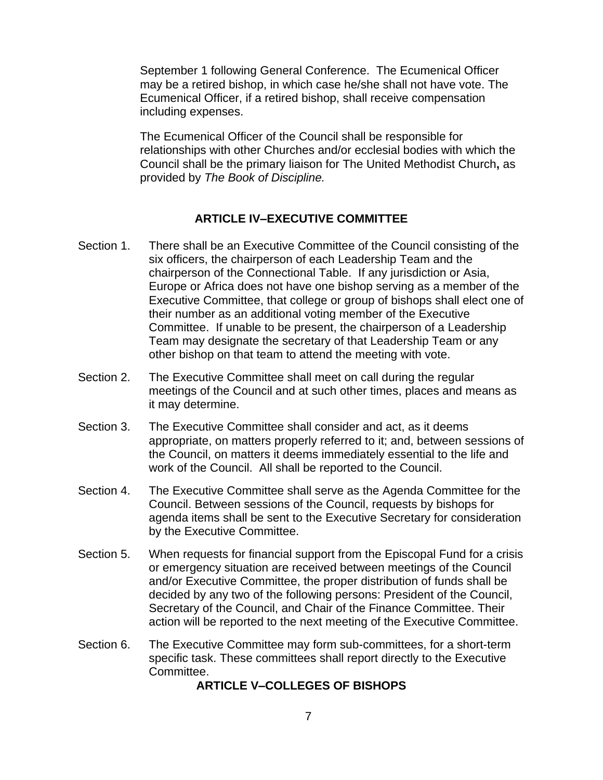September 1 following General Conference. The Ecumenical Officer may be a retired bishop, in which case he/she shall not have vote. The Ecumenical Officer, if a retired bishop, shall receive compensation including expenses.

The Ecumenical Officer of the Council shall be responsible for relationships with other Churches and/or ecclesial bodies with which the Council shall be the primary liaison for The United Methodist Church**,** as provided by *The Book of Discipline.*

# **ARTICLE IV–EXECUTIVE COMMITTEE**

- Section 1. There shall be an Executive Committee of the Council consisting of the six officers, the chairperson of each Leadership Team and the chairperson of the Connectional Table. If any jurisdiction or Asia, Europe or Africa does not have one bishop serving as a member of the Executive Committee, that college or group of bishops shall elect one of their number as an additional voting member of the Executive Committee. If unable to be present, the chairperson of a Leadership Team may designate the secretary of that Leadership Team or any other bishop on that team to attend the meeting with vote.
- Section 2. The Executive Committee shall meet on call during the regular meetings of the Council and at such other times, places and means as it may determine.
- Section 3. The Executive Committee shall consider and act, as it deems appropriate, on matters properly referred to it; and, between sessions of the Council, on matters it deems immediately essential to the life and work of the Council. All shall be reported to the Council.
- Section 4. The Executive Committee shall serve as the Agenda Committee for the Council. Between sessions of the Council, requests by bishops for agenda items shall be sent to the Executive Secretary for consideration by the Executive Committee.
- Section 5. When requests for financial support from the Episcopal Fund for a crisis or emergency situation are received between meetings of the Council and/or Executive Committee, the proper distribution of funds shall be decided by any two of the following persons: President of the Council, Secretary of the Council, and Chair of the Finance Committee. Their action will be reported to the next meeting of the Executive Committee.
- Section 6. The Executive Committee may form sub-committees, for a short-term specific task. These committees shall report directly to the Executive Committee.

### **ARTICLE V–COLLEGES OF BISHOPS**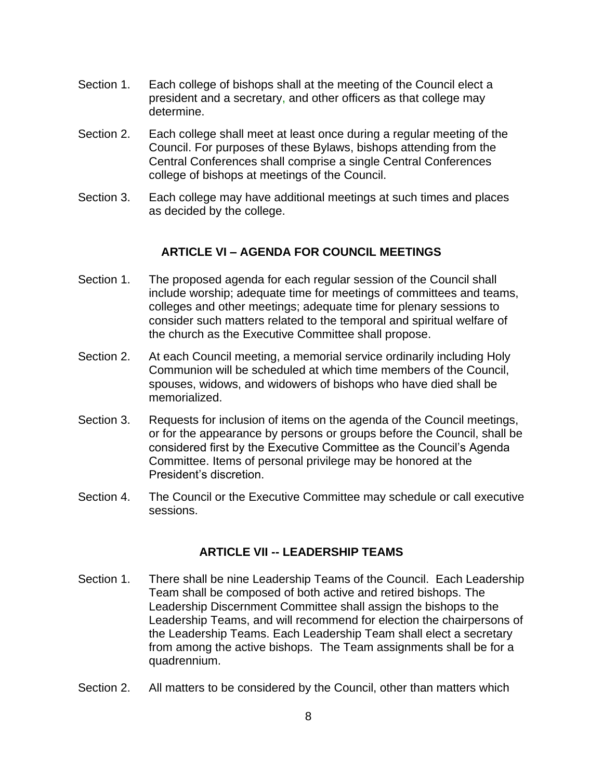- Section 1. Each college of bishops shall at the meeting of the Council elect a president and a secretary, and other officers as that college may determine.
- Section 2. Each college shall meet at least once during a regular meeting of the Council. For purposes of these Bylaws, bishops attending from the Central Conferences shall comprise a single Central Conferences college of bishops at meetings of the Council.
- Section 3. Each college may have additional meetings at such times and places as decided by the college.

### **ARTICLE VI – AGENDA FOR COUNCIL MEETINGS**

- Section 1. The proposed agenda for each regular session of the Council shall include worship; adequate time for meetings of committees and teams, colleges and other meetings; adequate time for plenary sessions to consider such matters related to the temporal and spiritual welfare of the church as the Executive Committee shall propose.
- Section 2. At each Council meeting, a memorial service ordinarily including Holy Communion will be scheduled at which time members of the Council, spouses, widows, and widowers of bishops who have died shall be memorialized.
- Section 3. Requests for inclusion of items on the agenda of the Council meetings, or for the appearance by persons or groups before the Council, shall be considered first by the Executive Committee as the Council's Agenda Committee. Items of personal privilege may be honored at the President's discretion.
- Section 4. The Council or the Executive Committee may schedule or call executive sessions.

### **ARTICLE VII -- LEADERSHIP TEAMS**

- Section 1. There shall be nine Leadership Teams of the Council. Each Leadership Team shall be composed of both active and retired bishops. The Leadership Discernment Committee shall assign the bishops to the Leadership Teams, and will recommend for election the chairpersons of the Leadership Teams. Each Leadership Team shall elect a secretary from among the active bishops. The Team assignments shall be for a quadrennium.
- Section 2. All matters to be considered by the Council, other than matters which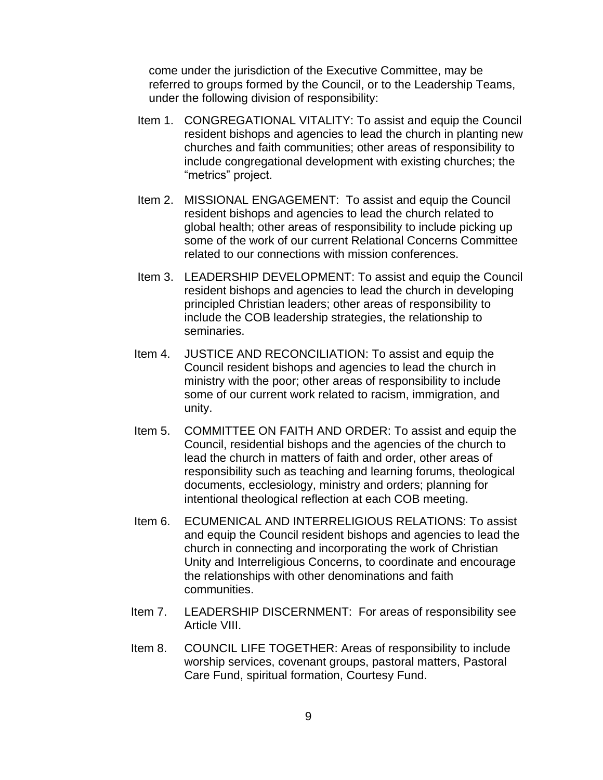come under the jurisdiction of the Executive Committee, may be referred to groups formed by the Council, or to the Leadership Teams, under the following division of responsibility:

- Item 1. CONGREGATIONAL VITALITY: To assist and equip the Council resident bishops and agencies to lead the church in planting new churches and faith communities; other areas of responsibility to include congregational development with existing churches; the "metrics" project.
- Item 2. MISSIONAL ENGAGEMENT: To assist and equip the Council resident bishops and agencies to lead the church related to global health; other areas of responsibility to include picking up some of the work of our current Relational Concerns Committee related to our connections with mission conferences.
- Item 3. LEADERSHIP DEVELOPMENT: To assist and equip the Council resident bishops and agencies to lead the church in developing principled Christian leaders; other areas of responsibility to include the COB leadership strategies, the relationship to seminaries.
- Item 4. JUSTICE AND RECONCILIATION: To assist and equip the Council resident bishops and agencies to lead the church in ministry with the poor; other areas of responsibility to include some of our current work related to racism, immigration, and unity.
- Item 5. COMMITTEE ON FAITH AND ORDER: To assist and equip the Council, residential bishops and the agencies of the church to lead the church in matters of faith and order, other areas of responsibility such as teaching and learning forums, theological documents, ecclesiology, ministry and orders; planning for intentional theological reflection at each COB meeting.
- Item 6. ECUMENICAL AND INTERRELIGIOUS RELATIONS: To assist and equip the Council resident bishops and agencies to lead the church in connecting and incorporating the work of Christian Unity and Interreligious Concerns, to coordinate and encourage the relationships with other denominations and faith communities.
- Item 7. LEADERSHIP DISCERNMENT: For areas of responsibility see Article VIII.
- Item 8. COUNCIL LIFE TOGETHER: Areas of responsibility to include worship services, covenant groups, pastoral matters, Pastoral Care Fund, spiritual formation, Courtesy Fund.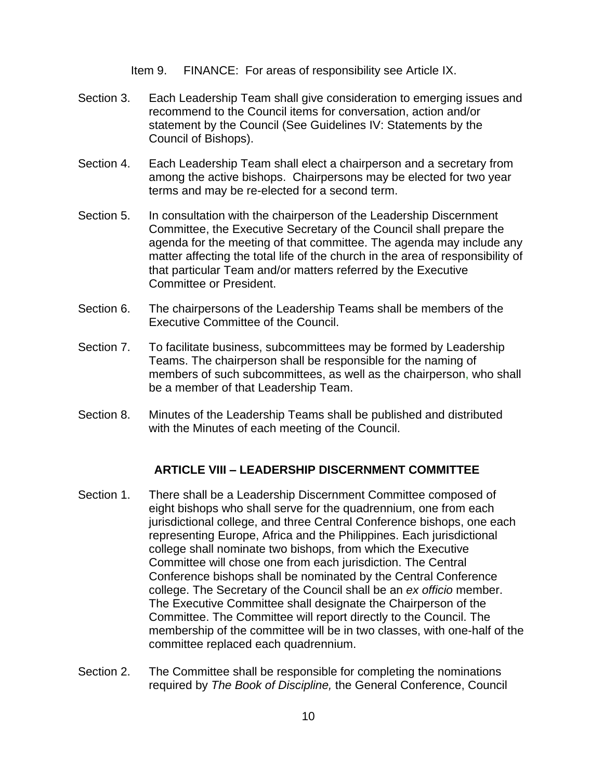Item 9. FINANCE: For areas of responsibility see Article IX.

- Section 3. Each Leadership Team shall give consideration to emerging issues and recommend to the Council items for conversation, action and/or statement by the Council (See Guidelines IV: Statements by the Council of Bishops).
- Section 4. Each Leadership Team shall elect a chairperson and a secretary from among the active bishops. Chairpersons may be elected for two year terms and may be re-elected for a second term.
- Section 5. In consultation with the chairperson of the Leadership Discernment Committee, the Executive Secretary of the Council shall prepare the agenda for the meeting of that committee. The agenda may include any matter affecting the total life of the church in the area of responsibility of that particular Team and/or matters referred by the Executive Committee or President.
- Section 6. The chairpersons of the Leadership Teams shall be members of the Executive Committee of the Council.
- Section 7. To facilitate business, subcommittees may be formed by Leadership Teams. The chairperson shall be responsible for the naming of members of such subcommittees, as well as the chairperson, who shall be a member of that Leadership Team.
- Section 8. Minutes of the Leadership Teams shall be published and distributed with the Minutes of each meeting of the Council.

### **ARTICLE VIII – LEADERSHIP DISCERNMENT COMMITTEE**

- Section 1. There shall be a Leadership Discernment Committee composed of eight bishops who shall serve for the quadrennium, one from each jurisdictional college, and three Central Conference bishops, one each representing Europe, Africa and the Philippines. Each jurisdictional college shall nominate two bishops, from which the Executive Committee will chose one from each jurisdiction. The Central Conference bishops shall be nominated by the Central Conference college. The Secretary of the Council shall be an *ex officio* member. The Executive Committee shall designate the Chairperson of the Committee. The Committee will report directly to the Council. The membership of the committee will be in two classes, with one-half of the committee replaced each quadrennium.
- Section 2. The Committee shall be responsible for completing the nominations required by *The Book of Discipline,* the General Conference, Council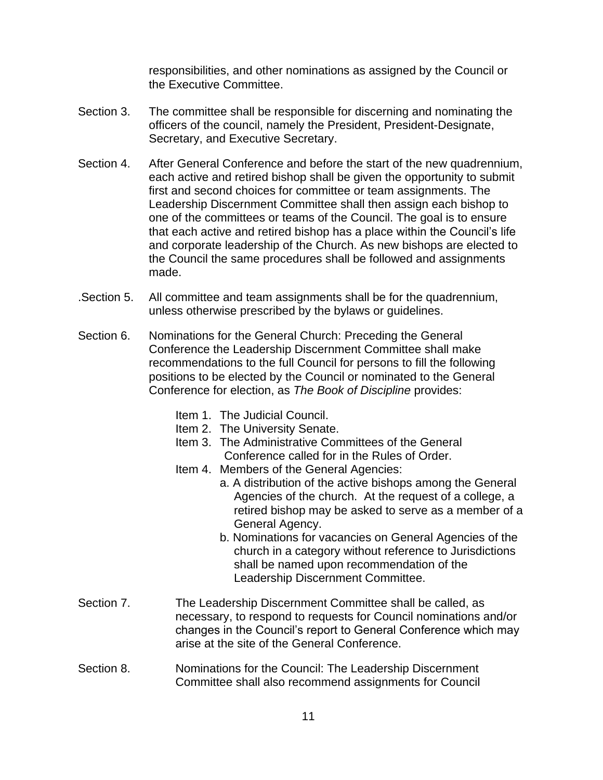responsibilities, and other nominations as assigned by the Council or the Executive Committee.

- Section 3. The committee shall be responsible for discerning and nominating the officers of the council, namely the President, President-Designate, Secretary, and Executive Secretary.
- Section 4. After General Conference and before the start of the new quadrennium, each active and retired bishop shall be given the opportunity to submit first and second choices for committee or team assignments. The Leadership Discernment Committee shall then assign each bishop to one of the committees or teams of the Council. The goal is to ensure that each active and retired bishop has a place within the Council's life and corporate leadership of the Church. As new bishops are elected to the Council the same procedures shall be followed and assignments made.
- .Section 5. All committee and team assignments shall be for the quadrennium, unless otherwise prescribed by the bylaws or guidelines.
- Section 6. Nominations for the General Church: Preceding the General Conference the Leadership Discernment Committee shall make recommendations to the full Council for persons to fill the following positions to be elected by the Council or nominated to the General Conference for election, as *The Book of Discipline* provides:
	- Item 1. The Judicial Council.
	- Item 2. The University Senate.
	- Item 3. The Administrative Committees of the General Conference called for in the Rules of Order.
	- Item 4. Members of the General Agencies:
		- a. A distribution of the active bishops among the General Agencies of the church. At the request of a college, a retired bishop may be asked to serve as a member of a General Agency.
		- b. Nominations for vacancies on General Agencies of the church in a category without reference to Jurisdictions shall be named upon recommendation of the Leadership Discernment Committee.
- Section 7. The Leadership Discernment Committee shall be called, as necessary, to respond to requests for Council nominations and/or changes in the Council's report to General Conference which may arise at the site of the General Conference.
- Section 8. Nominations for the Council: The Leadership Discernment Committee shall also recommend assignments for Council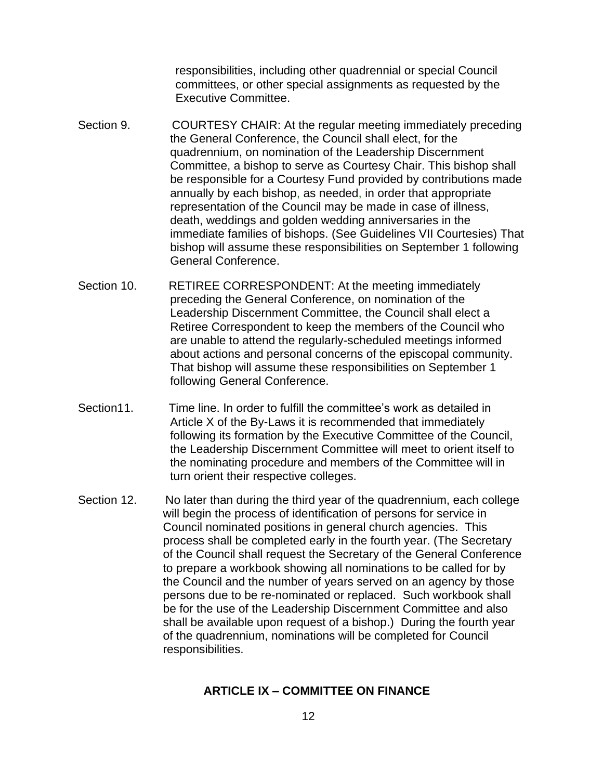responsibilities, including other quadrennial or special Council committees, or other special assignments as requested by the Executive Committee.

- Section 9. COURTESY CHAIR: At the regular meeting immediately preceding the General Conference, the Council shall elect, for the quadrennium, on nomination of the Leadership Discernment Committee, a bishop to serve as Courtesy Chair. This bishop shall be responsible for a Courtesy Fund provided by contributions made annually by each bishop, as needed, in order that appropriate representation of the Council may be made in case of illness, death, weddings and golden wedding anniversaries in the immediate families of bishops. (See Guidelines VII Courtesies) That bishop will assume these responsibilities on September 1 following General Conference.
- Section 10. RETIREE CORRESPONDENT: At the meeting immediately preceding the General Conference, on nomination of the Leadership Discernment Committee, the Council shall elect a Retiree Correspondent to keep the members of the Council who are unable to attend the regularly-scheduled meetings informed about actions and personal concerns of the episcopal community. That bishop will assume these responsibilities on September 1 following General Conference.
- Section11. Time line. In order to fulfill the committee's work as detailed in Article X of the By-Laws it is recommended that immediately following its formation by the Executive Committee of the Council, the Leadership Discernment Committee will meet to orient itself to the nominating procedure and members of the Committee will in turn orient their respective colleges.
- Section 12. No later than during the third year of the quadrennium, each college will begin the process of identification of persons for service in Council nominated positions in general church agencies. This process shall be completed early in the fourth year. (The Secretary of the Council shall request the Secretary of the General Conference to prepare a workbook showing all nominations to be called for by the Council and the number of years served on an agency by those persons due to be re-nominated or replaced. Such workbook shall be for the use of the Leadership Discernment Committee and also shall be available upon request of a bishop.) During the fourth year of the quadrennium, nominations will be completed for Council responsibilities.

### **ARTICLE IX – COMMITTEE ON FINANCE**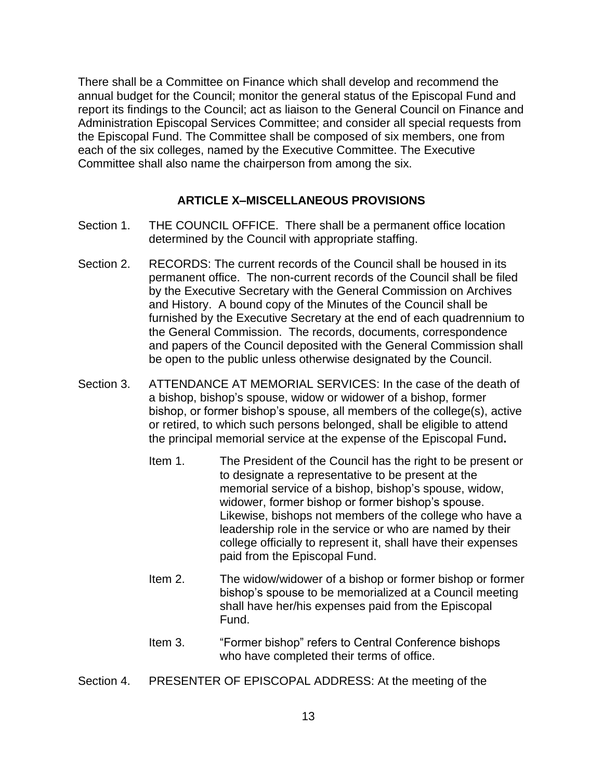There shall be a Committee on Finance which shall develop and recommend the annual budget for the Council; monitor the general status of the Episcopal Fund and report its findings to the Council; act as liaison to the General Council on Finance and Administration Episcopal Services Committee; and consider all special requests from the Episcopal Fund. The Committee shall be composed of six members, one from each of the six colleges, named by the Executive Committee. The Executive Committee shall also name the chairperson from among the six.

### **ARTICLE X–MISCELLANEOUS PROVISIONS**

- Section 1. THE COUNCIL OFFICE. There shall be a permanent office location determined by the Council with appropriate staffing.
- Section 2. RECORDS: The current records of the Council shall be housed in its permanent office. The non-current records of the Council shall be filed by the Executive Secretary with the General Commission on Archives and History. A bound copy of the Minutes of the Council shall be furnished by the Executive Secretary at the end of each quadrennium to the General Commission. The records, documents, correspondence and papers of the Council deposited with the General Commission shall be open to the public unless otherwise designated by the Council.
- Section 3. ATTENDANCE AT MEMORIAL SERVICES: In the case of the death of a bishop, bishop's spouse, widow or widower of a bishop, former bishop, or former bishop's spouse, all members of the college(s), active or retired, to which such persons belonged, shall be eligible to attend the principal memorial service at the expense of the Episcopal Fund**.** 
	- Item 1. The President of the Council has the right to be present or to designate a representative to be present at the memorial service of a bishop, bishop's spouse, widow, widower, former bishop or former bishop's spouse. Likewise, bishops not members of the college who have a leadership role in the service or who are named by their college officially to represent it, shall have their expenses paid from the Episcopal Fund.
	- Item 2. The widow/widower of a bishop or former bishop or former bishop's spouse to be memorialized at a Council meeting shall have her/his expenses paid from the Episcopal Fund.
	- Item 3. "Former bishop" refers to Central Conference bishops who have completed their terms of office.
- Section 4. PRESENTER OF EPISCOPAL ADDRESS: At the meeting of the